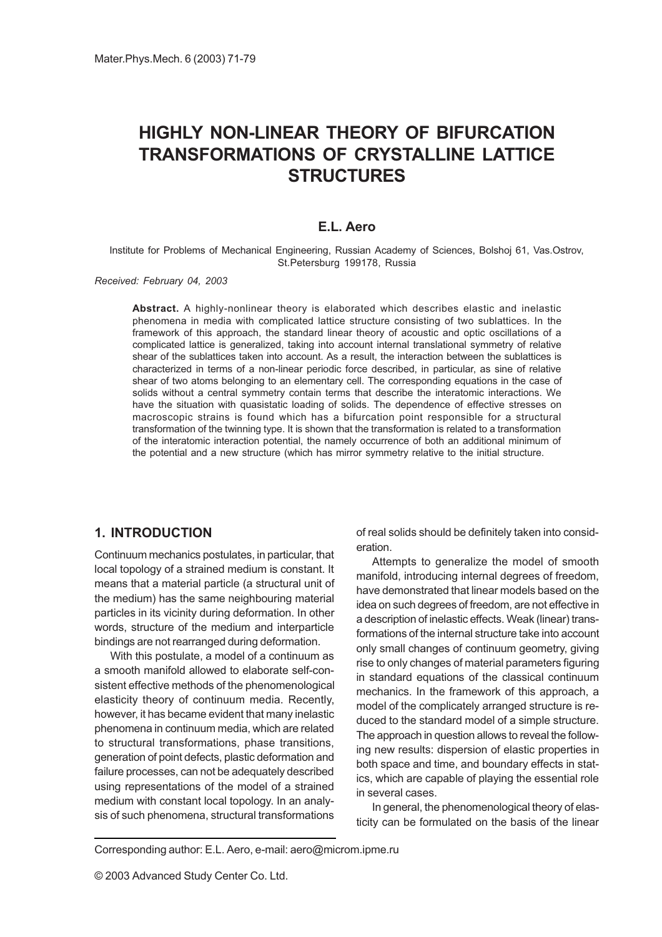# HIGHLY NON-LINEAR THEORY OF BIFURCATION TRANSFORMATIONS OF CRYSTALLINE LATTICE **STRUCTURES**

### E.L. Aero

Institute for Problems of Mechanical Engineering, Russian Academy of Sciences, Bolshoj 61, Vas.Ostrov, St.Petersburg 199178, Russia

Received: February 04, 2003

Abstract. A highly-nonlinear theory is elaborated which describes elastic and inelastic phenomena in media with complicated lattice structure consisting of two sublattices. In the framework of this approach, the standard linear theory of acoustic and optic oscillations of a complicated lattice is generalized, taking into account internal translational symmetry of relative shear of the sublattices taken into account. As a result, the interaction between the sublattices is characterized in terms of a non-linear periodic force described, in particular, as sine of relative shear of two atoms belonging to an elementary cell. The corresponding equations in the case of solids without a central symmetry contain terms that describe the interatomic interactions. We have the situation with quasistatic loading of solids. The dependence of effective stresses on macroscopic strains is found which has a bifurcation point responsible for a structural transformation of the twinning type. It is shown that the transformation is related to a transformation of the interatomic interaction potential, the namely occurrence of both an additional minimum of the potential and a new structure (which has mirror symmetry relative to the initial structure.

### 1. INTRODUCTION

Continuum mechanics postulates, in particular, that local topology of a strained medium is constant. It means that a material particle (a structural unit of the medium) has the same neighbouring material particles in its vicinity during deformation. In other words, structure of the medium and interparticle bindings are not rearranged during deformation.

With this postulate, a model of a continuum as a smooth manifold allowed to elaborate self-consistent effective methods of the phenomenological elasticity theory of continuum media. Recently, however, it has became evident that many inelastic phenomena in continuum media, which are related to structural transformations, phase transitions, generation of point defects, plastic deformation and failure processes, can not be adequately described using representations of the model of a strained medium with constant local topology. In an analysis of such phenomena, structural transformations

of real solids should be definitely taken into consideration.

Attempts to generalize the model of smooth manifold, introducing internal degrees of freedom, have demonstrated that linear models based on the idea on such degrees of freedom, are not effective in a description of inelastic effects. Weak (linear) transformations of the internal structure take into account only small changes of continuum geometry, giving rise to only changes of material parameters figuring in standard equations of the classical continuum mechanics. In the framework of this approach, a model of the complicately arranged structure is reduced to the standard model of a simple structure. The approach in question allows to reveal the following new results: dispersion of elastic properties in both space and time, and boundary effects in statics, which are capable of playing the essential role in several cases.

In general, the phenomenological theory of elasticity can be formulated on the basis of the linear

Corresponding author: E.L. Aero, e-mail: aero@microm.ipme.ru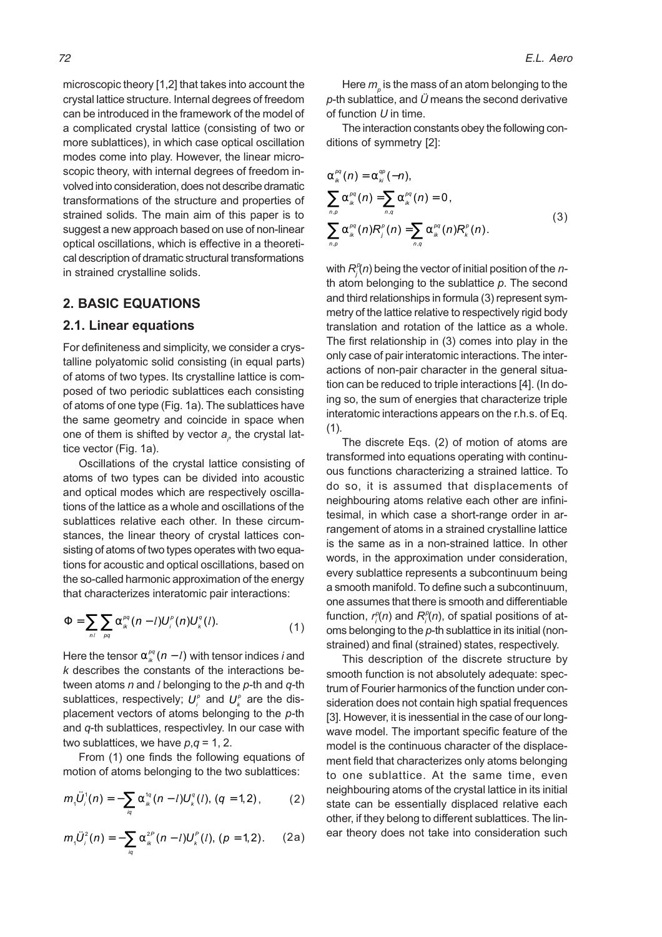microscopic theory [1,2] that takes into account the crystal lattice structure. Internal degrees of freedom can be introduced in the framework of the model of a complicated crystal lattice (consisting of two or more sublattices), in which case optical oscillation modes come into play. However, the linear microscopic theory, with internal degrees of freedom involved into consideration, does not describe dramatic transformations of the structure and properties of strained solids. The main aim of this paper is to suggest a new approach based on use of non-linear optical oscillations, which is effective in a theoretical description of dramatic structural transformations in strained crystalline solids.

### 2. BASIC EQUATIONS

#### 2.1. Linear equations

For definiteness and simplicity, we consider a crystalline polyatomic solid consisting (in equal parts) of atoms of two types. Its crystalline lattice is composed of two periodic sublattices each consisting of atoms of one type (Fig. 1a). The sublattices have the same geometry and coincide in space when one of them is shifted by vector  $\boldsymbol{a}_{\rho}$  the crystal lattice vector (Fig. 1a).

Oscillations of the crystal lattice consisting of atoms of two types can be divided into acoustic and optical modes which are respectively oscillations of the lattice as a whole and oscillations of the sublattices relative each other. In these circumstances, the linear theory of crystal lattices consisting of atoms of two types operates with two equations for acoustic and optical oscillations, based on the so-called harmonic approximation of the energy that characterizes interatomic pair interactions:

$$
\Phi = \sum_{nl} \sum_{pq} \alpha_{ik}^{pq} (n-l) U_i^p(n) U_k^q(l). \tag{1}
$$

Here the tensor  $\alpha_{ik}^{\rho q}$  ( $n-l$ ) with tensor indices *i* and k describes the constants of the interactions between atoms  $n$  and  $l$  belonging to the  $p$ -th and  $q$ -th sublattices, respectively;  $\pmb{U}_i^p$  and  $\pmb{U}_k^p$  are the displacement vectors of atoms belonging to the p-th and q-th sublattices, respectivley. In our case with two sublattices, we have  $p, q = 1, 2$ .

From (1) one finds the following equations of motion of atoms belonging to the two sublattices:

$$
m_1 \ddot{U}_i^1(n) = -\sum_{i,q} \alpha_{ik}^{1q}(n-l) U_k^q(l), (q = 1,2), \qquad (2)
$$

$$
m_1 \ddot{U}_i^2(n) = -\sum_{i,q} \alpha_{ik}^{2P}(n-l) U_k^P(l), (p = 1,2).
$$
 (2a)

Here  $m_{_{\!P}}$  is the mass of an atom belonging to the p-th sublattice, and  $\ddot{\theta}$  means the second derivative of function  $U$  in time.

The interaction constants obey the following conditions of symmetry [2]:

$$
\alpha_{ik}^{pq}(n) = \alpha_{ki}^{qp}(-n),
$$
  
\n
$$
\sum_{n,p} \alpha_{ik}^{pq}(n) = \sum_{n,q} \alpha_{ik}^{pq}(n) = 0,
$$
  
\n
$$
\sum_{n,p} \alpha_{ik}^{pq}(n) R_j^p(n) = \sum_{n,q} \alpha_{ik}^{pq}(n) R_k^p(n).
$$
\n(3)

with  $R_j^p(n)$  being the vector of initial position of the nth atom belonging to the sublattice  $p$ . The second and third relationships in formula (3) represent symmetry of the lattice relative to respectively rigid body translation and rotation of the lattice as a whole. The first relationship in (3) comes into play in the only case of pair interatomic interactions. The interactions of non-pair character in the general situation can be reduced to triple interactions [4]. (In doing so, the sum of energies that characterize triple interatomic interactions appears on the r.h.s. of Eq.  $(1).$ 

The discrete Eqs. (2) of motion of atoms are transformed into equations operating with continuous functions characterizing a strained lattice. To do so, it is assumed that displacements of neighbouring atoms relative each other are infinitesimal, in which case a short-range order in arrangement of atoms in a strained crystalline lattice is the same as in a non-strained lattice. In other words, in the approximation under consideration, every sublattice represents a subcontinuum being a smooth manifold. To define such a subcontinuum, one assumes that there is smooth and differentiable function,  $r_i^{\rho}(n)$  and  $R_i^{\rho}(n)$ , of spatial positions of atoms belonging to the p-th sublattice in its initial (nonstrained) and final (strained) states, respectively.

This description of the discrete structure by smooth function is not absolutely adequate: spectrum of Fourier harmonics of the function under consideration does not contain high spatial frequences [3]. However, it is inessential in the case of our longwave model. The important specific feature of the model is the continuous character of the displacement field that characterizes only atoms belonging to one sublattice. At the same time, even neighbouring atoms of the crystal lattice in its initial state can be essentially displaced relative each other, if they belong to different sublattices. The linear theory does not take into consideration such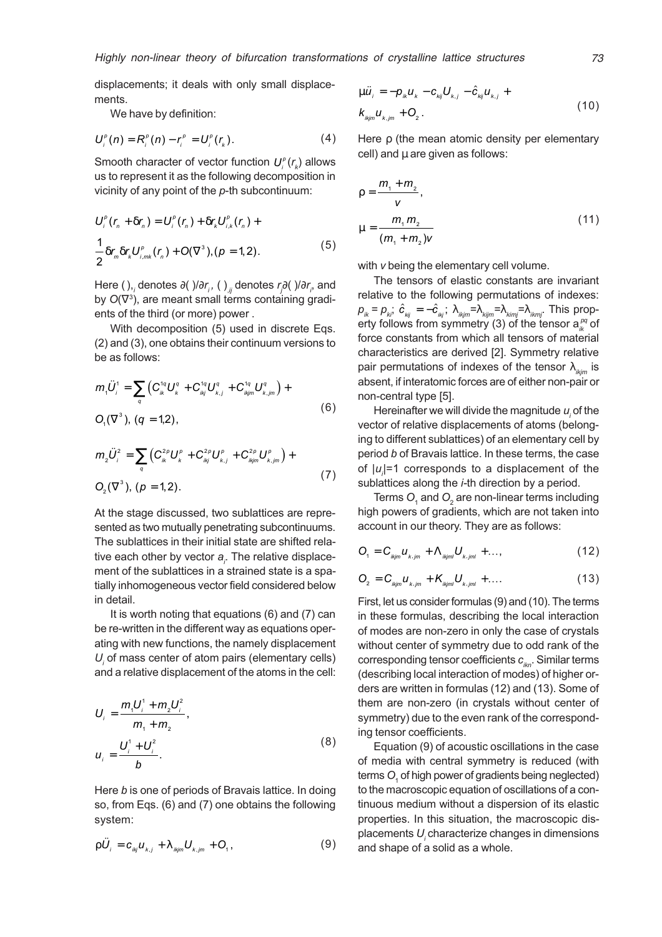displacements; it deals with only small displacements.

We have by definition:

$$
U_i^{\rho}(n) = R_i^{\rho}(n) - r_i^{\rho} = U_i^{\rho}(r_k).
$$
 (4)

Smooth character of vector function  $U_i^{\rho}(r_{\mu})$  allows us to represent it as the following decomposition in vicinity of any point of the p-th subcontinuum:

$$
U_i^{\rho}(r_n + \delta r_n) = U_i^{\rho}(r_n) + \delta r_k U_{i,k}^{\rho}(r_n) +
$$
  
\n
$$
\frac{1}{2} \delta r_m \delta r_k U_{i,mk}^{\rho}(r_n) + O(\nabla^3), (\rho = 1, 2).
$$
 (5)

Here ( ),, denotes ∂( )/∂r,, ( )<sub>,ÿ</sub> denotes r<sub>/</sub>∂( )/∂r<sub>,</sub>, and by  $O(\nabla^3)$ , are meant small terms containing gradients of the third (or more) power .

With decomposition (5) used in discrete Eqs. (2) and (3), one obtains their continuum versions to be as follows:

$$
m_{1}\ddot{U}_{i}^{1} = \sum_{q} \left( C_{ik}^{1q} U_{k}^{q} + C_{ikj}^{1q} U_{k,j}^{q} + C_{ikjm}^{1q} U_{k,jm}^{q} \right) +
$$
  
 
$$
O_{1}(\nabla^{3}), (q = 1,2),
$$
 (6)

$$
m_{2}\ddot{U}_{i}^{2} = \sum_{q} \left( C_{ik}^{2p} U_{k}^{p} + C_{ikj}^{2p} U_{k,j}^{p} + C_{ikjm}^{2p} U_{k,jm}^{p} \right) +
$$
  
\n
$$
O_{2}(\nabla^{3}), (p = 1, 2).
$$
\n(7)

At the stage discussed, two sublattices are represented as two mutually penetrating subcontinuums. The sublattices in their initial state are shifted relative each other by vector  $a_i$ . The relative displacement of the sublattices in a strained state is a spatially inhomogeneous vector field considered below in detail.

It is worth noting that equations (6) and (7) can be re-written in the different way as equations operating with new functions, the namely displacement  $U_i$  of mass center of atom pairs (elementary cells) and a relative displacement of the atoms in the cell:

$$
U_{i} = \frac{m_{i}U_{i}^{1} + m_{2}U_{i}^{2}}{m_{i} + m_{2}},
$$
  
\n
$$
u_{i} = \frac{U_{i}^{1} + U_{i}^{2}}{b}.
$$
 (8)

Here b is one of periods of Bravais lattice. In doing so, from Eqs. (6) and (7) one obtains the following system:

$$
\rho \ddot{U}_i = c_{ikj} u_{k,j} + \lambda_{ikj m} U_{k,j m} + O_i, \qquad (9)
$$

$$
\mu \ddot{u}_{i} = -p_{ik} u_{k} - c_{kj} U_{k,j} - \hat{c}_{kj} u_{k,j} +
$$
  

$$
k_{kjm} u_{k,jm} + Q_{2}.
$$
 (10)

Here ρ (the mean atomic density per elementary cell) and  $\mu$  are given as follows:

$$
\rho = \frac{m_1 + m_2}{v},
$$
  
\n
$$
\mu = \frac{m_1 m_2}{(m_1 + m_2)v}
$$
\n(11)

with *v* being the elementary cell volume.

The tensors of elastic constants are invariant relative to the following permutations of indexes:  $p_{ik}^{}=p_{ki}^{}$ ;  $\hat{c}_{_{kij}^{}}^{}=-\hat{c}_{_{ki}^{}}^{}$ ;  $\lambda_{_{ikjm}}^{}=\lambda_{_{kimj}}^{}=\lambda_{_{ikmj}^{}}^{}=\lambda_{_{ikmj}^{}}^{}$ . This property follows from symmetry (3) of the tensor  $\mathsf{a}^{\scriptscriptstyle{\rho q}}_{\scriptscriptstyle{ik}}$  of force constants from which all tensors of material characteristics are derived [2]. Symmetry relative pair permutations of indexes of the tensor  $\lambda_{ikim}$  is absent, if interatomic forces are of either non-pair or non-central type [5].

Hereinafter we will divide the magnitude  $u_i$  of the vector of relative displacements of atoms (belonging to different sublattices) of an elementary cell by period b of Bravais lattice. In these terms, the case of  $|u_i|$ =1 corresponds to a displacement of the sublattices along the *i*-th direction by a period.

Terms  $O_{\!\!{}_{1}}$  and  $O_{\!\!{}_{2}}$  are non-linear terms including high powers of gradients, which are not taken into account in our theory. They are as follows:

$$
O_{1} = C_{ikjm} u_{k,jm} + \Lambda_{ikjm} U_{k,jm} + \dots,
$$
\n(12)

$$
O_2 = C_{ikjm} u_{k,jm} + K_{ikjm} U_{k,jm} + \dots
$$
 (13)

First, let us consider formulas (9) and (10). The terms in these formulas, describing the local interaction of modes are non-zero in only the case of crystals without center of symmetry due to odd rank of the corresponding tensor coefficients  $c_{ikn}$ . Similar terms (describing local interaction of modes) of higher orders are written in formulas (12) and (13). Some of them are non-zero (in crystals without center of symmetry) due to the even rank of the corresponding tensor coefficients.

Equation (9) of acoustic oscillations in the case of media with central symmetry is reduced (with terms  $O_{\!\scriptscriptstyle 1}$  of high power of gradients being neglected) to the macroscopic equation of oscillations of a continuous medium without a dispersion of its elastic properties. In this situation, the macroscopic displacements  $U_{_j}$ characterize changes in dimensions and shape of a solid as a whole.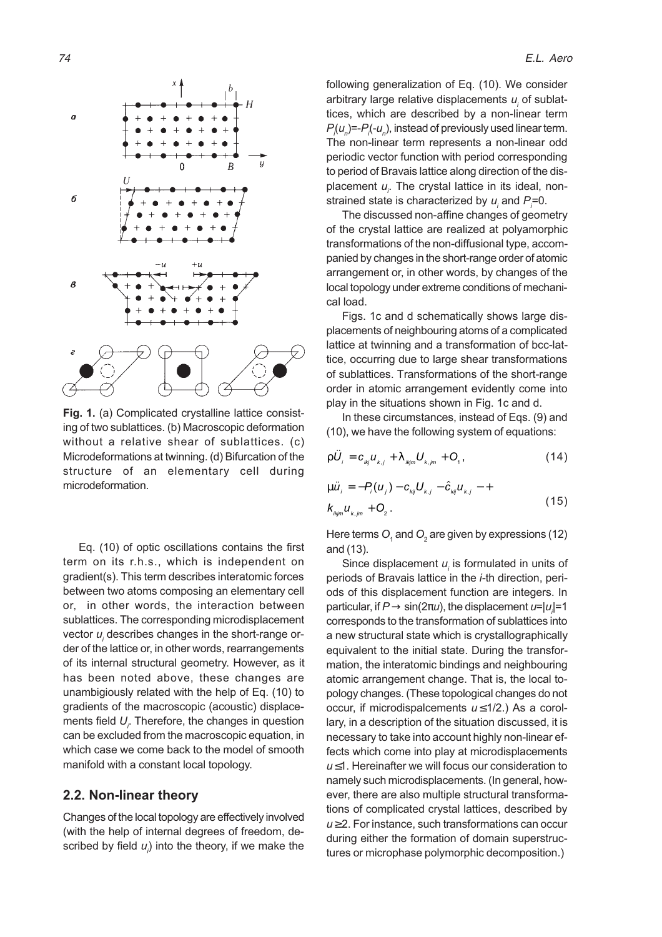

Fig. 1. (a) Complicated crystalline lattice consisting of two sublattices. (b) Macroscopic deformation without a relative shear of sublattices. (c) Microdeformations at twinning. (d) Bifurcation of the structure of an elementary cell during microdeformation.

Eq. (10) of optic oscillations contains the first term on its r.h.s., which is independent on gradient(s). This term describes interatomic forces between two atoms composing an elementary cell or, in other words, the interaction between sublattices. The corresponding microdisplacement vector  $u_i$  describes changes in the short-range order of the lattice or, in other words, rearrangements of its internal structural geometry. However, as it has been noted above, these changes are unambigiously related with the help of Eq. (10) to gradients of the macroscopic (acoustic) displacements field  $U_{\scriptscriptstyle\mathit{f}}$  Therefore, the changes in question can be excluded from the macroscopic equation, in which case we come back to the model of smooth manifold with a constant local topology.

#### 2.2. Non-linear theory

Changes of the local topology are effectively involved (with the help of internal degrees of freedom, described by field  $u_j$ ) into the theory, if we make the following generalization of Eq. (10). We consider arbitrary large relative displacements  $u_i$  of sublattices, which are described by a non-linear term  $P_{i}(u_{n})=P_{i}(-u_{n})$ , instead of previously used linear term. The non-linear term represents a non-linear odd periodic vector function with period corresponding to period of Bravais lattice along direction of the displacement  $u_i$ . The crystal lattice in its ideal, nonstrained state is characterized by  $u_i$  and  $P_i$ =0.

The discussed non-affine changes of geometry of the crystal lattice are realized at polyamorphic transformations of the non-diffusional type, accompanied by changes in the short-range order of atomic arrangement or, in other words, by changes of the local topology under extreme conditions of mechanical load.

Figs. 1c and d schematically shows large displacements of neighbouring atoms of a complicated lattice at twinning and a transformation of bcc-lattice, occurring due to large shear transformations of sublattices. Transformations of the short-range order in atomic arrangement evidently come into play in the situations shown in Fig. 1c and d.

In these circumstances, instead of Eqs. (9) and (10), we have the following system of equations:

$$
\rho \ddot{U}_i = c_{ikj} u_{k,j} + \lambda_{ikj m} U_{k,j m} + O_i, \qquad (14)
$$

$$
\mu \ddot{u}_i = -P_i(u_j) - c_{\kappa ij} U_{\kappa,j} - \hat{c}_{\kappa ij} u_{\kappa,j} - +
$$
  

$$
k_{\kappa j m} u_{\kappa, j m} + Q_2.
$$
 (15)

Here terms  $O_{\!\scriptscriptstyle 1}$  and  $O_{\!\scriptscriptstyle 2}$  are given by expressions (12) and (13).

Since displacement  $u_i$  is formulated in units of periods of Bravais lattice in the *i*-th direction, periods of this displacement function are integers. In particular, if  $P$   $\rightarrow$  sin(2 $\pi\omega$ ), the displacement  $\iota$ =| $\iota$ <sub>i</sub>|=1 corresponds to the transformation of sublattices into a new structural state which is crystallographically equivalent to the initial state. During the transformation, the interatomic bindings and neighbouring atomic arrangement change. That is, the local topology changes. (These topological changes do not occur, if microdispalcements  $u \leq 1/2$ .) As a corollary, in a description of the situation discussed, it is necessary to take into account highly non-linear effects which come into play at microdisplacements  $u \leq 1$ . Hereinafter we will focus our consideration to namely such microdisplacements. (In general, however, there are also multiple structural transformations of complicated crystal lattices, described by  $u \geq 2$ . For instance, such transformations can occur during either the formation of domain superstructures or microphase polymorphic decomposition.)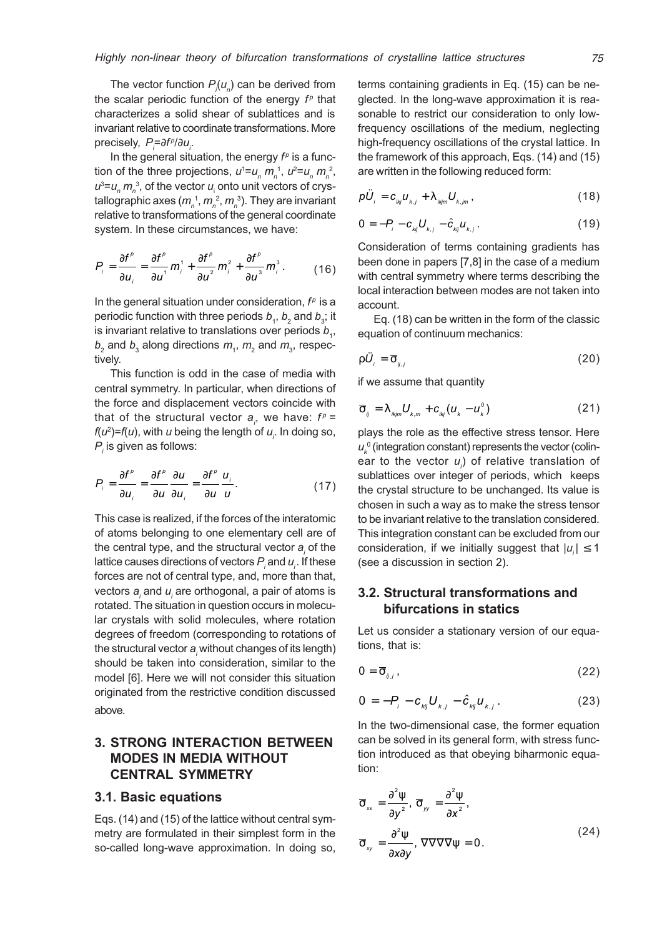The vector function  $P_{i}(u_{n})$  can be derived from the scalar periodic function of the energy  $f^p$  that characterizes a solid shear of sublattices and is invariant relative to coordinate transformations. More precisely,  $P_{\vec{i}} = \partial f^{\rho} / \partial u_{\vec{i}}$ .

In the general situation, the energy  $f^p$  is a function of the three projections,  $u^1 = u_n m_n^1$ ,  $u^2 = u_n m_n^2$ ,  $u^3 = u_n m_n^3$ , of the vector  $u_i$  onto unit vectors of crystallographic axes ( $m_{_n}^{\,\,1},$   $m_{_n}^{\,\,2},$   $m_{_n}^{\,\,3}).$  They are invariant relative to transformations of the general coordinate system. In these circumstances, we have:

$$
P_i = \frac{\partial f^{\rho}}{\partial u_i} = \frac{\partial f^{\rho}}{\partial u^1} m_i^1 + \frac{\partial f^{\rho}}{\partial u^2} m_i^2 + \frac{\partial f^{\rho}}{\partial u^3} m_i^3. \tag{16}
$$

In the general situation under consideration,  $f<sup>p</sup>$  is a periodic function with three periods  $b_{\scriptscriptstyle 4}^{}, b_{\scriptscriptstyle 2}^{}$  and  $b_{\scriptscriptstyle 3}^{};$  it is invariant relative to translations over periods  $b_{\scriptscriptstyle 4}^{},$  $b_{2}$  and  $b_{3}$  along directions  $m_{1}$ ,  $m_{2}$  and  $m_{3}$ , respectively.

This function is odd in the case of media with central symmetry. In particular, when directions of the force and displacement vectors coincide with that of the structural vector  $a_{i}$ , we have:  $f^{p}$  =  $f(u^2)$ = $f(u)$ , with  $u$  being the length of  $u_{i}$ . In doing so,  $P_{i}$  is given as follows:

$$
P_i = \frac{\partial f^{\rho}}{\partial u_i} = \frac{\partial f^{\rho}}{\partial u} \frac{\partial u}{\partial u_i} = \frac{\partial f^{\rho}}{\partial u} \frac{u_i}{u}.
$$
 (17)

This case is realized, if the forces of the interatomic of atoms belonging to one elementary cell are of the central type, and the structural vector  $a_i$  of the lattice causes directions of vectors  $P_{_j}$  and  $u_{_i}.$  If these forces are not of central type, and, more than that, vectors  $\boldsymbol{a}_{i}$  and  $\boldsymbol{u}_{i}$  are orthogonal, a pair of atoms is rotated. The situation in question occurs in molecular crystals with solid molecules, where rotation degrees of freedom (corresponding to rotations of the structural vector  $a_{\scriptscriptstyle\!}/$  without changes of its length) should be taken into consideration, similar to the model [6]. Here we will not consider this situation originated from the restrictive condition discussed above.

# 3. STRONG INTERACTION BETWEEN MODES IN MEDIA WITHOUT CENTRAL SYMMETRY

#### 3.1. Basic equations

Eqs. (14) and (15) of the lattice without central symmetry are formulated in their simplest form in the so-called long-wave approximation. In doing so,

terms containing gradients in Eq. (15) can be neglected. In the long-wave approximation it is reasonable to restrict our consideration to only lowfrequency oscillations of the medium, neglecting high-frequency oscillations of the crystal lattice. In the framework of this approach, Eqs. (14) and (15) are written in the following reduced form:

$$
\rho \ddot{U}_i = c_{_{ikj}} u_{_{k,j}} + \lambda_{_{ikjm}} U_{_{k,jm}}, \qquad (18)
$$

$$
0 = -P_{i} - c_{kij}U_{k,j} - \hat{c}_{kij}U_{k,j}.
$$
 (19)

Consideration of terms containing gradients has been done in papers [7,8] in the case of a medium with central symmetry where terms describing the local interaction between modes are not taken into account.

Eq. (18) can be written in the form of the classic equation of continuum mechanics:

$$
\rho \ddot{U}_i = \overline{\sigma}_{ij} \tag{20}
$$

if we assume that quantity

$$
\overline{\sigma}_{ij} = \lambda_{ikjm} U_{k,m} + c_{ikj} (u_k - u_k^0)
$$
 (21)

plays the role as the effective stress tensor. Here  $u_{k}^{\,0}$  (integration constant) represents the vector (colinear to the vector  $u_j$ ) of relative translation of sublattices over integer of periods, which keeps the crystal structure to be unchanged. Its value is chosen in such a way as to make the stress tensor to be invariant relative to the translation considered. This integration constant can be excluded from our consideration, if we initially suggest that  $|u_i| \leq 1$ (see a discussion in section 2).

## 3.2. Structural transformations and bifurcations in statics

Let us consider a stationary version of our equations, that is:

$$
0 = \overline{\sigma}_{ij,j}, \qquad (22)
$$

$$
0 = -P_{i} - c_{_{kij}} U_{_{k,j}} - \hat{c}_{_{kij}} U_{_{k,j}}.
$$
 (23)

In the two-dimensional case, the former equation can be solved in its general form, with stress function introduced as that obeying biharmonic equation:

$$
\overline{\sigma}_{xx} = \frac{\partial^2 \psi}{\partial y^2}, \overline{\sigma}_{yy} = \frac{\partial^2 \psi}{\partial x^2},
$$
  

$$
\overline{\sigma}_{xy} = \frac{\partial^2 \psi}{\partial x \partial y}, \nabla \nabla \nabla \nabla \psi = 0.
$$
 (24)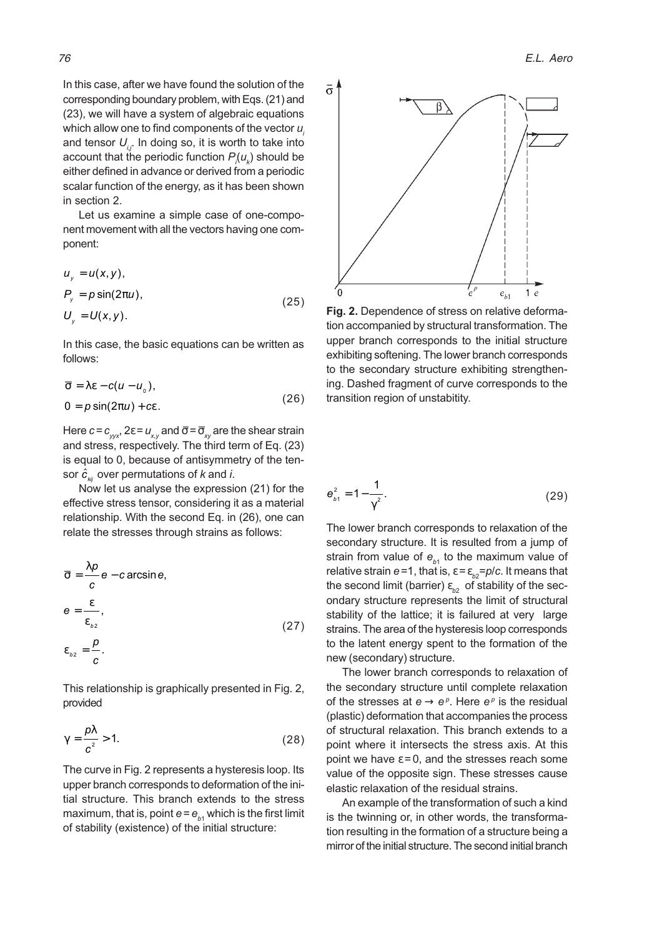In this case, after we have found the solution of the corresponding boundary problem, with Eqs. (21) and (23), we will have a system of algebraic equations which allow one to find components of the vector  $u_i$ and tensor  $U_{ij}$ . In doing so, it is worth to take into account that the periodic function  $P_{_{\!j}}\!(u_{_{k}})$  should be either defined in advance or derived from a periodic scalar function of the energy, as it has been shown in section 2.

Let us examine a simple case of one-component movement with all the vectors having one component:

$$
u_y = u(x, y),
$$
  
\n
$$
P_y = p \sin(2\pi u),
$$
  
\n
$$
U_y = U(x, y).
$$
\n(25)

In this case, the basic equations can be written as follows:

$$
\overline{\sigma} = \lambda \varepsilon - c(u - u_0),
$$
  
0 =  $p \sin(2\pi u) + c\varepsilon$ . (26)

Here  $c = c_{\text{av}}$ ,  $2\varepsilon = u_{\text{av}}$  and  $\bar{\sigma} = \bar{\sigma}_{\text{av}}$  are the shear strain and stress, respectively. The third term of Eq. (23) is equal to 0, because of antisymmetry of the tensor  $\dot{\hat{c}}_{_{kij}}$  over permutations of  $k$  and  $i.$ 

Now let us analyse the expression (21) for the effective stress tensor, considering it as a material relationship. With the second Eq. in (26), one can relate the stresses through strains as follows:

$$
\overline{\sigma} = \frac{\lambda p}{c} e - c \arcsin e,
$$
  
\n
$$
e = \frac{\varepsilon}{\varepsilon_{b_2}},
$$
  
\n
$$
\varepsilon_{b_2} = \frac{p}{c}.
$$
\n(27)

This relationship is graphically presented in Fig. 2, provided

$$
\gamma = \frac{p\lambda}{c^2} > 1. \tag{28}
$$

The curve in Fig. 2 represents a hysteresis loop. Its upper branch corresponds to deformation of the initial structure. This branch extends to the stress maximum, that is, point  $e$  =  $e_{_{b1}}$  which is the first limit of stability (existence) of the initial structure:



Fig. 2. Dependence of stress on relative deformation accompanied by structural transformation. The upper branch corresponds to the initial structure exhibiting softening. The lower branch corresponds to the secondary structure exhibiting strengthening. Dashed fragment of curve corresponds to the transition region of unstabitity.

$$
\mathbf{e}_{b1}^2 = 1 - \frac{1}{\gamma^2}.
$$
 (29)

The lower branch corresponds to relaxation of the secondary structure. It is resulted from a jump of strain from value of  $e_{b1}$  to the maximum value of relative strain  $e$  =1, that is,  $\varepsilon$  =  $\varepsilon_{_{b2}}$ = $p/c$ . It means that the second limit (barrier)  $\varepsilon_{_{b2}}^{}$  of stability of the secondary structure represents the limit of structural stability of the lattice; it is failured at very large strains. The area of the hysteresis loop corresponds to the latent energy spent to the formation of the new (secondary) structure.

The lower branch corresponds to relaxation of the secondary structure until complete relaxation of the stresses at  $e \rightarrow e^{\rho}$ . Here  $e^{\rho}$  is the residual (plastic) deformation that accompanies the process of structural relaxation. This branch extends to a point where it intersects the stress axis. At this point we have  $\varepsilon = 0$ , and the stresses reach some value of the opposite sign. These stresses cause elastic relaxation of the residual strains.

An example of the transformation of such a kind is the twinning or, in other words, the transformation resulting in the formation of a structure being a mirror of the initial structure. The second initial branch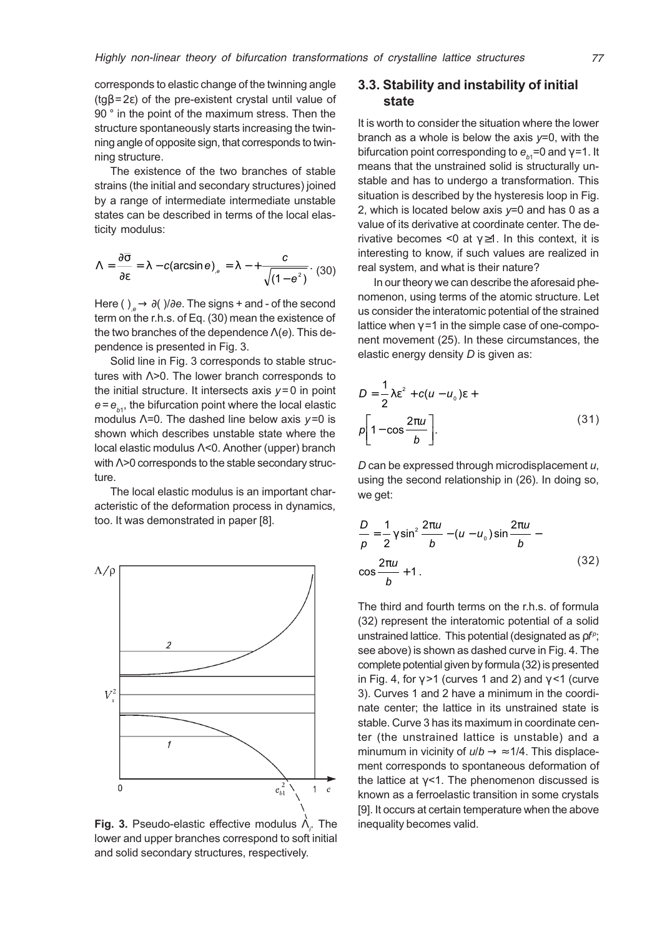corresponds to elastic change of the twinning angle ( $tg\beta = 2\varepsilon$ ) of the pre-existent crystal until value of 90 ° in the point of the maximum stress. Then the structure spontaneously starts increasing the twinning angle of opposite sign, that corresponds to twinning structure.

The existence of the two branches of stable strains (the initial and secondary structures) joined by a range of intermediate intermediate unstable states can be described in terms of the local elasticity modulus:

$$
\Lambda = \frac{\partial \overline{\sigma}}{\partial \varepsilon} = \lambda - c(\arcsin \theta)_{,e} = \lambda - + \frac{c}{\sqrt{(1 - e^2)}}. (30)
$$

Here ( ),  $\rightarrow \partial$  )/∂e. The signs + and - of the second term on the r.h.s. of Eq. (30) mean the existence of the two branches of the dependence  $\Lambda(e)$ . This dependence is presented in Fig. 3.

Solid line in Fig. 3 corresponds to stable structures with Λ>0. The lower branch corresponds to the initial structure. It intersects axis  $y = 0$  in point  $e = e_{b1}$ , the bifurcation point where the local elastic modulus  $\Lambda$ =0. The dashed line below axis  $y=0$  is shown which describes unstable state where the local elastic modulus Λ<0. Another (upper) branch with Δ>0 corresponds to the stable secondary structure.

The local elastic modulus is an important characteristic of the deformation process in dynamics, too. It was demonstrated in paper [8].



Fig. 3. Pseudo-elastic effective modulus  $\Lambda_{i}$ . The lower and upper branches correspond to soft initial and solid secondary structures, respectively.

### 3.3. Stability and instability of initial state

It is worth to consider the situation where the lower branch as a whole is below the axis  $y=0$ , with the bifurcation point corresponding to  $e_{_{b1}}$ =0 and  $\gamma$ =1. It means that the unstrained solid is structurally unstable and has to undergo a transformation. This situation is described by the hysteresis loop in Fig. 2, which is located below axis  $y=0$  and has 0 as a value of its derivative at coordinate center. The derivative becomes <0 at  $\gamma \geq 1$ . In this context, it is interesting to know, if such values are realized in real system, and what is their nature?

In our theory we can describe the aforesaid phenomenon, using terms of the atomic structure. Let us consider the interatomic potential of the strained lattice when  $\gamma = 1$  in the simple case of one-component movement (25). In these circumstances, the elastic energy density  $D$  is given as:

$$
D = \frac{1}{2}\lambda \varepsilon^{2} + c(u - u_{0})\varepsilon +
$$
  

$$
\rho \left[1 - \cos \frac{2\pi u}{b}\right].
$$
 (31)

D can be expressed through microdisplacement  $u$ , using the second relationship in (26). In doing so, we get:

$$
\frac{D}{p} = \frac{1}{2}\gamma \sin^2 \frac{2\pi u}{b} - (u - u_0)\sin \frac{2\pi u}{b}
$$
  

$$
\cos \frac{2\pi u}{b} + 1.
$$
 (32)

The third and fourth terms on the r.h.s. of formula (32) represent the interatomic potential of a solid unstrained lattice. This potential (designated as  $p f^{\rho}$ ; see above) is shown as dashed curve in Fig. 4. The complete potential given by formula (32) is presented in Fig. 4, for  $\gamma$  >1 (curves 1 and 2) and  $\gamma$  <1 (curve 3). Curves 1 and 2 have a minimum in the coordinate center; the lattice in its unstrained state is stable. Curve 3 has its maximum in coordinate center (the unstrained lattice is unstable) and a minumum in vicinity of  $u/b \rightarrow \approx 1/4$ . This displacement corresponds to spontaneous deformation of the lattice at  $\gamma$ <1. The phenomenon discussed is known as a ferroelastic transition in some crystals [9]. It occurs at certain temperature when the above inequality becomes valid.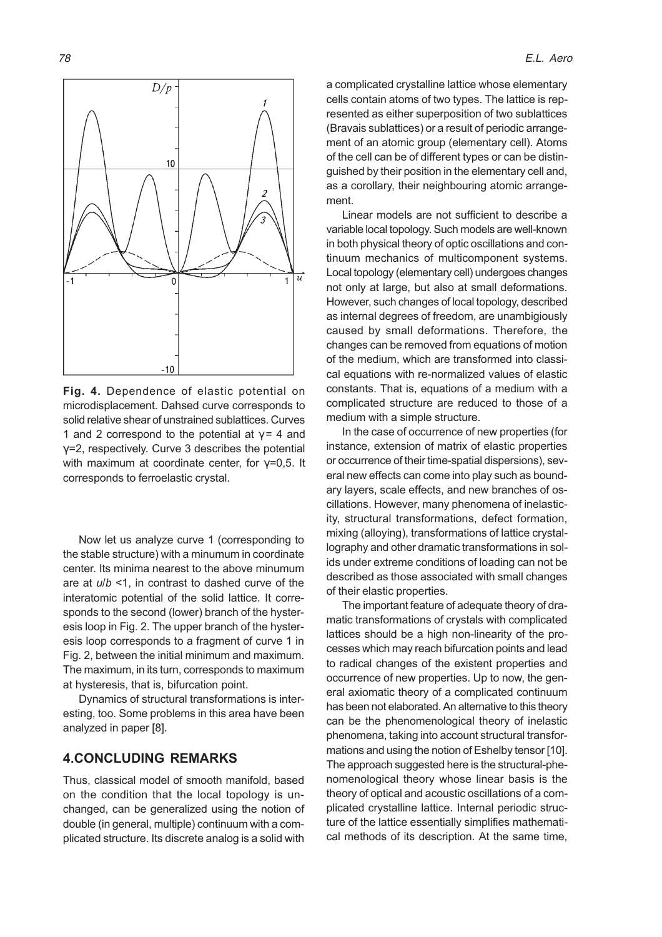

Fig. 4. Dependence of elastic potential on microdisplacement. Dahsed curve corresponds to solid relative shear of unstrained sublattices. Curves 1 and 2 correspond to the potential at  $\gamma$  = 4 and γ=2, respectively. Curve 3 describes the potential with maximum at coordinate center, for  $\gamma = 0.5$ . It corresponds to ferroelastic crystal.

Now let us analyze curve 1 (corresponding to the stable structure) with a minumum in coordinate center. Its minima nearest to the above minumum are at  $u/b \le 1$ , in contrast to dashed curve of the interatomic potential of the solid lattice. It corresponds to the second (lower) branch of the hysteresis loop in Fig. 2. The upper branch of the hysteresis loop corresponds to a fragment of curve 1 in Fig. 2, between the initial minimum and maximum. The maximum, in its turn, corresponds to maximum at hysteresis, that is, bifurcation point.

Dynamics of structural transformations is interesting, too. Some problems in this area have been analyzed in paper [8].

### 4.CONCLUDING REMARKS

Thus, classical model of smooth manifold, based on the condition that the local topology is unchanged, can be generalized using the notion of double (in general, multiple) continuum with a complicated structure. Its discrete analog is a solid with

a complicated crystalline lattice whose elementary cells contain atoms of two types. The lattice is represented as either superposition of two sublattices (Bravais sublattices) or a result of periodic arrangement of an atomic group (elementary cell). Atoms of the cell can be of different types or can be distinguished by their position in the elementary cell and, as a corollary, their neighbouring atomic arrangement.

Linear models are not sufficient to describe a variable local topology. Such models are well-known in both physical theory of optic oscillations and continuum mechanics of multicomponent systems. Local topology (elementary cell) undergoes changes not only at large, but also at small deformations. However, such changes of local topology, described as internal degrees of freedom, are unambigiously caused by small deformations. Therefore, the changes can be removed from equations of motion of the medium, which are transformed into classical equations with re-normalized values of elastic constants. That is, equations of a medium with a complicated structure are reduced to those of a medium with a simple structure.

In the case of occurrence of new properties (for instance, extension of matrix of elastic properties or occurrence of their time-spatial dispersions), several new effects can come into play such as boundary layers, scale effects, and new branches of oscillations. However, many phenomena of inelasticity, structural transformations, defect formation, mixing (alloying), transformations of lattice crystallography and other dramatic transformations in solids under extreme conditions of loading can not be described as those associated with small changes of their elastic properties.

The important feature of adequate theory of dramatic transformations of crystals with complicated lattices should be a high non-linearity of the processes which may reach bifurcation points and lead to radical changes of the existent properties and occurrence of new properties. Up to now, the general axiomatic theory of a complicated continuum has been not elaborated. An alternative to this theory can be the phenomenological theory of inelastic phenomena, taking into account structural transformations and using the notion of Eshelby tensor [10]. The approach suggested here is the structural-phenomenological theory whose linear basis is the theory of optical and acoustic oscillations of a complicated crystalline lattice. Internal periodic structure of the lattice essentially simplifies mathematical methods of its description. At the same time,